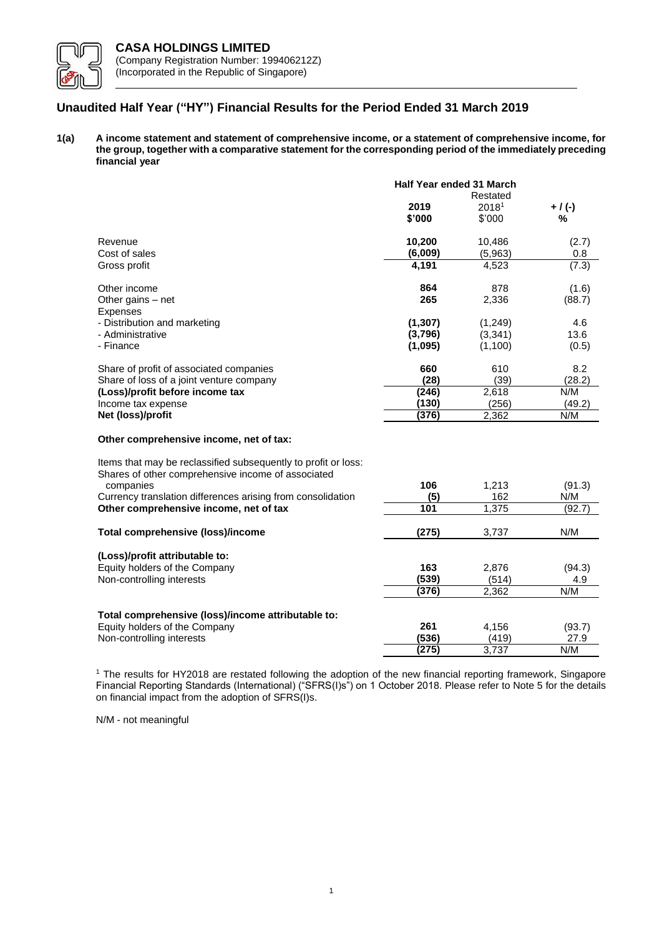

# **Unaudited Half Year ("HY") Financial Results for the Period Ended 31 March 2019**

**1(a) A income statement and statement of comprehensive income, or a statement of comprehensive income, for the group, together with a comparative statement for the corresponding period of the immediately preceding financial year**

|                                                 | Half Year ended 31 March<br>Restated |                   |                 |
|-------------------------------------------------|--------------------------------------|-------------------|-----------------|
|                                                 | 2019                                 | 2018 <sup>1</sup> | $+$ / (-)       |
|                                                 | \$'000                               | \$'000            | %               |
| Revenue                                         | 10,200                               | 10,486            | (2.7)           |
| Cost of sales                                   | (6,009)                              | (5,963)           | 0.8             |
| Gross profit                                    | 4,191                                | 4,523             | (7.3)           |
| Other income<br>Other gains $-$ net<br>Expenses | 864<br>265                           | 878<br>2,336      | (1.6)<br>(88.7) |
| - Distribution and marketing                    | (1, 307)                             | (1, 249)          | 4.6             |
| - Administrative                                | (3,796)                              | (3,341)           | 13.6            |
| - Finance                                       | (1,095)                              | (1,100)           | (0.5)           |
| Share of profit of associated companies         | 660                                  | 610               | 8.2             |
| Share of loss of a joint venture company        | (28)                                 | (39)              | (28.2)          |
| (Loss)/profit before income tax                 | (246)                                | 2,618             | N/M             |
| Income tax expense                              | (130)                                | (256)             | (49.2)          |
| Net (loss)/profit                               | (376)                                | 2,362             | N/M             |
| Other comprehensive income, net of tax:         |                                      |                   |                 |

# Items that may be reclassified subsequently to profit or loss: Shares of other comprehensive income of associated companies **106** 1,213 (91.3) Currency translation differences arising from consolidation **(5)** 162 N/M<br> **Other comprehensive income, net of tax** 101 101 1,375 (92) **Other comprehensive income, net of tax**  $\overline{101}$  1,375 (92.7) **Total comprehensive (loss)/income (275)** 3,737 N/M **(Loss)/profit attributable to:** Equity holders of the Company **163** 2,876 (94.3) Non-controlling interests **(539)** (514) 4.9<br> **(539)** (514) 4.9<br> **(376)** 2.362 N/M **(376)** 2,362 N/M **Total comprehensive (loss)/income attributable to:** Equity holders of the Company **261** 4,156 (93.7)<br>
Non-controlling interests (536) 419 27.9 Non-controlling interests **(536)** (419) 27.9<br>
(275) 27.9<br>
1/M **(275)** 3,737 N/M

<sup>1</sup> The results for HY2018 are restated following the adoption of the new financial reporting framework, Singapore Financial Reporting Standards (International) ("SFRS(I)s") on 1 October 2018. Please refer to Note 5 for the details on financial impact from the adoption of SFRS(I)s.

N/M - not meaningful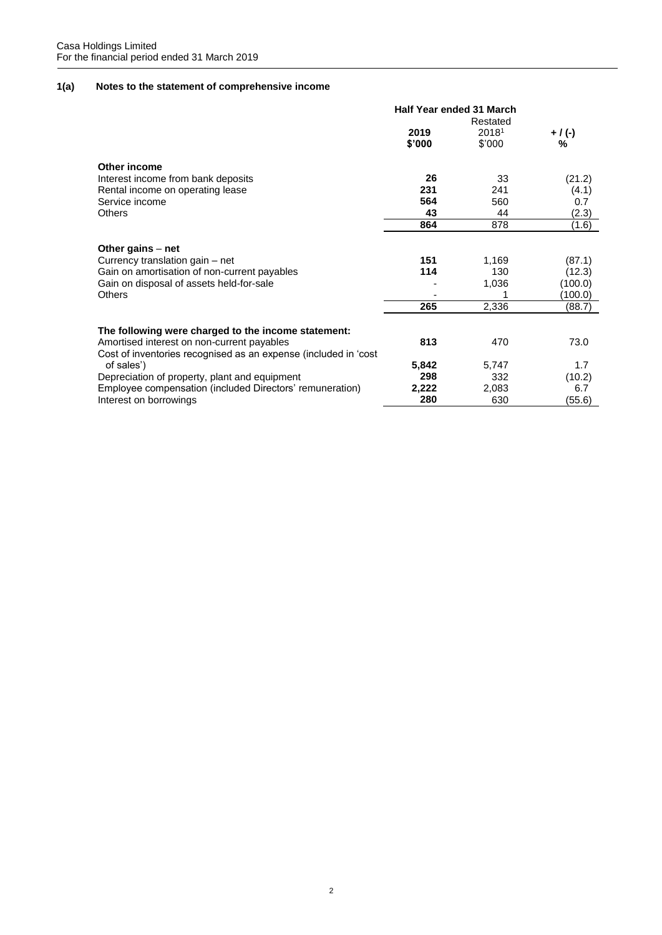# **1(a) Notes to the statement of comprehensive income**

|                                                                 | <b>Half Year ended 31 March</b> |        |           |  |
|-----------------------------------------------------------------|---------------------------------|--------|-----------|--|
|                                                                 | Restated                        |        |           |  |
|                                                                 | 2019                            | 20181  | $+$ / (-) |  |
|                                                                 | \$'000                          | \$'000 | %         |  |
| Other income                                                    |                                 |        |           |  |
| Interest income from bank deposits                              | 26                              | 33     | (21.2)    |  |
| Rental income on operating lease                                | 231                             | 241    | (4.1)     |  |
| Service income                                                  | 564                             | 560    | 0.7       |  |
| <b>Others</b>                                                   | 43                              | 44     | (2.3)     |  |
|                                                                 | 864                             | 878    | (1.6)     |  |
|                                                                 |                                 |        |           |  |
| Other gains $-$ net                                             |                                 |        |           |  |
| Currency translation gain - net                                 | 151                             | 1,169  | (87.1)    |  |
| Gain on amortisation of non-current payables                    | 114                             | 130    | (12.3)    |  |
| Gain on disposal of assets held-for-sale                        |                                 | 1,036  | (100.0)   |  |
| Others                                                          |                                 |        | (100.0)   |  |
|                                                                 | 265                             | 2,336  | (88.7)    |  |
|                                                                 |                                 |        |           |  |
| The following were charged to the income statement:             |                                 |        |           |  |
| Amortised interest on non-current payables                      | 813                             | 470    | 73.0      |  |
| Cost of inventories recognised as an expense (included in 'cost |                                 |        |           |  |
| of sales')                                                      | 5,842                           | 5,747  | 1.7       |  |
| Depreciation of property, plant and equipment                   | 298                             | 332    | (10.2)    |  |
| Employee compensation (included Directors' remuneration)        | 2,222                           | 2,083  | 6.7       |  |
| Interest on borrowings                                          | 280                             | 630    | (55.6)    |  |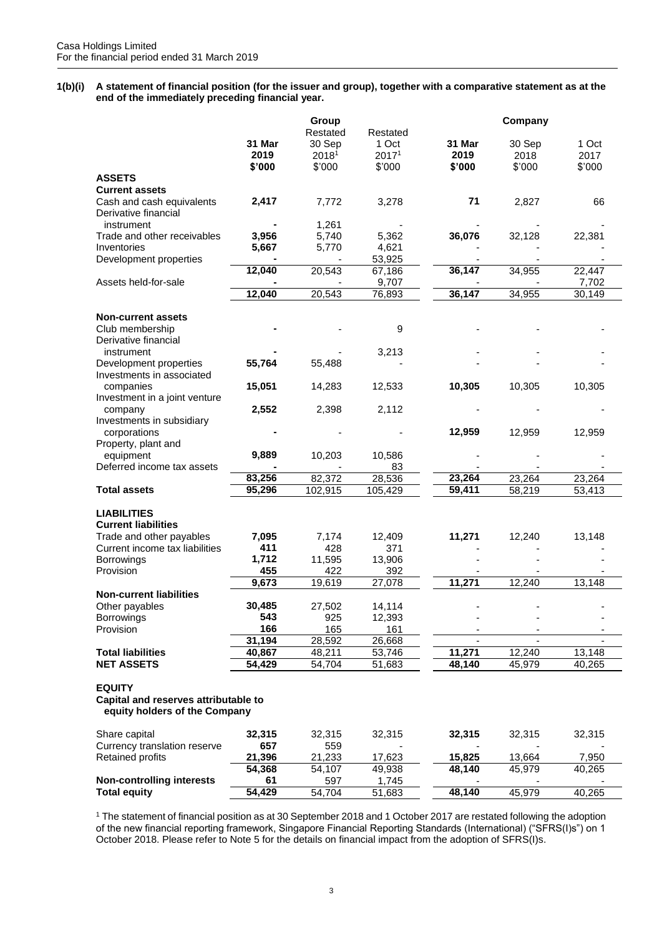**1(b)(i) A statement of financial position (for the issuer and group), together with a comparative statement as at the end of the immediately preceding financial year.**

|                                                                                        | 31 Mar<br>2019 | Group<br>Restated<br>30 Sep<br>20181 | Restated<br>1 Oct<br>20171 | 31 Mar<br>2019 | Company<br>30 Sep<br>2018 | 1 Oct<br>2017 |
|----------------------------------------------------------------------------------------|----------------|--------------------------------------|----------------------------|----------------|---------------------------|---------------|
|                                                                                        | \$'000         | \$'000                               | \$'000                     | \$'000         | \$'000                    | \$'000        |
| <b>ASSETS</b>                                                                          |                |                                      |                            |                |                           |               |
| <b>Current assets</b>                                                                  |                |                                      |                            |                |                           |               |
| Cash and cash equivalents<br>Derivative financial                                      | 2,417          | 7,772                                | 3,278                      | 71             | 2,827                     | 66            |
| instrument                                                                             |                | 1,261                                |                            |                |                           |               |
| Trade and other receivables                                                            | 3,956          | 5,740                                | 5,362                      | 36,076         | 32,128                    | 22,381        |
| Inventories                                                                            | 5,667          | 5,770                                | 4,621                      |                |                           |               |
| Development properties                                                                 |                |                                      | 53,925                     |                |                           |               |
|                                                                                        | 12,040         | 20,543                               | 67,186                     | 36,147         | 34,955                    | 22,447        |
| Assets held-for-sale                                                                   |                |                                      | 9,707                      |                |                           | 7,702         |
|                                                                                        | 12,040         | 20,543                               | 76,893                     | 36,147         | 34,955                    | 30,149        |
|                                                                                        |                |                                      |                            |                |                           |               |
| <b>Non-current assets</b>                                                              |                |                                      |                            |                |                           |               |
| Club membership<br>Derivative financial                                                |                |                                      | 9                          |                |                           |               |
| instrument                                                                             |                |                                      | 3,213                      |                |                           |               |
| Development properties<br>Investments in associated                                    | 55,764         | 55,488                               |                            |                |                           |               |
| companies<br>Investment in a joint venture                                             | 15,051         | 14,283                               | 12,533                     | 10,305         | 10,305                    | 10,305        |
| company<br>Investments in subsidiary                                                   | 2,552          | 2,398                                | 2,112                      |                |                           |               |
| corporations<br>Property, plant and                                                    |                |                                      |                            | 12,959         | 12,959                    | 12,959        |
| equipment                                                                              | 9,889          | 10,203                               | 10,586                     |                |                           |               |
| Deferred income tax assets                                                             |                |                                      | 83                         |                |                           |               |
|                                                                                        | 83,256         | 82,372                               | 28,536                     | 23,264         | 23,264                    | 23,264        |
| <b>Total assets</b>                                                                    | 95,296         | 102,915                              | 105,429                    | 59,411         | 58,219                    | 53,413        |
|                                                                                        |                |                                      |                            |                |                           |               |
| <b>LIABILITIES</b><br><b>Current liabilities</b>                                       |                |                                      |                            |                |                           |               |
| Trade and other payables                                                               | 7,095          | 7,174                                | 12,409                     | 11,271         | 12,240                    | 13,148        |
| Current income tax liabilities                                                         | 411            | 428                                  | 371                        |                |                           |               |
| Borrowings                                                                             | 1,712          | 11,595                               | 13,906                     |                |                           |               |
| Provision                                                                              | 455            | 422                                  | 392                        |                |                           |               |
|                                                                                        | 9,673          | 19,619                               | 27,078                     | 11,271         | 12,240                    | 13,148        |
| <b>Non-current liabilities</b>                                                         |                |                                      |                            |                |                           |               |
| Other payables                                                                         | 30,485         | 27,502                               | 14,114                     |                |                           |               |
| <b>Borrowings</b>                                                                      | 543            | 925                                  | 12,393                     |                |                           |               |
| Provision                                                                              | 166            | 165                                  | 161                        |                |                           |               |
|                                                                                        | 31,194         | 28,592                               | 26,668                     |                |                           |               |
| <b>Total liabilities</b>                                                               | 40,867         | 48,211                               | 53,746                     | 11,271         | 12,240                    | 13,148        |
| <b>NET ASSETS</b>                                                                      | 54,429         | 54,704                               | 51,683                     | 48,140         | 45,979                    | 40,265        |
| <b>EQUITY</b><br>Capital and reserves attributable to<br>equity holders of the Company |                |                                      |                            |                |                           |               |
| Share capital                                                                          | 32,315         | 32,315                               | 32,315                     | 32,315         | 32,315                    | 32,315        |
| Currency translation reserve                                                           | 657            | 559                                  |                            |                |                           |               |
| <b>Retained profits</b>                                                                | 21,396         | 21,233                               | 17,623                     | 15,825         | 13,664                    | 7,950         |
|                                                                                        | 54,368         | 54,107                               | 49,938                     | 48,140         | 45,979                    | 40,265        |
| <b>Non-controlling interests</b>                                                       | 61             | 597                                  | 1,745                      |                |                           |               |
| <b>Total equity</b>                                                                    | 54,429         | 54,704                               | 51,683                     | 48,140         | 45,979                    | 40,265        |

<sup>1</sup> The statement of financial position as at 30 September 2018 and 1 October 2017 are restated following the adoption of the new financial reporting framework, Singapore Financial Reporting Standards (International) ("SFRS(I)s") on 1 October 2018. Please refer to Note 5 for the details on financial impact from the adoption of SFRS(I)s.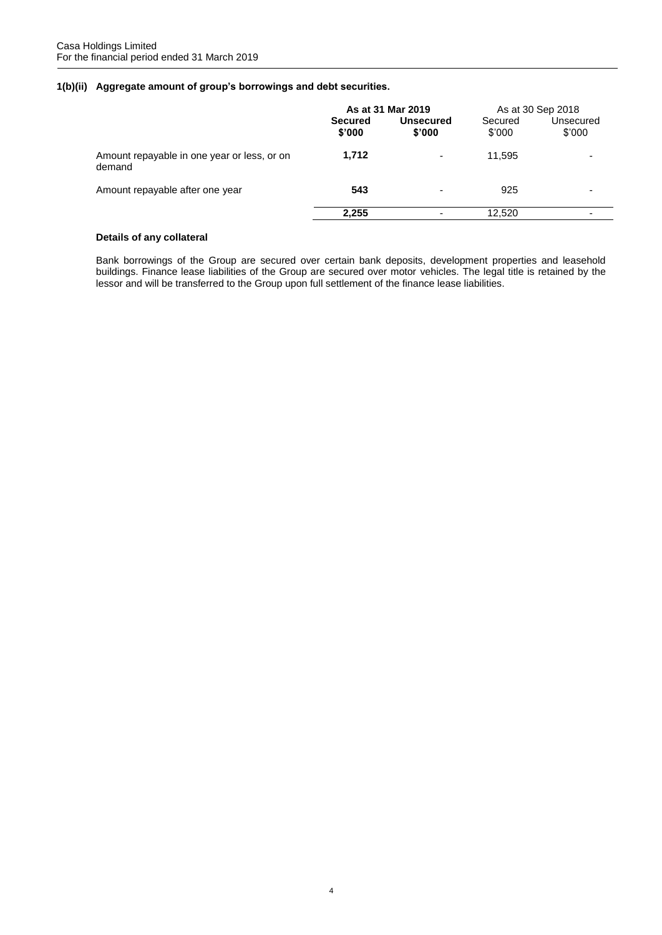# **1(b)(ii) Aggregate amount of group's borrowings and debt securities.**

|                                                       | As at 31 Mar 2019        |                            | As at 30 Sep 2018 |                     |
|-------------------------------------------------------|--------------------------|----------------------------|-------------------|---------------------|
|                                                       | <b>Secured</b><br>\$'000 | <b>Unsecured</b><br>\$'000 | Secured<br>\$'000 | Unsecured<br>\$'000 |
| Amount repayable in one year or less, or on<br>demand | 1,712                    | $\overline{\phantom{0}}$   | 11.595            |                     |
| Amount repayable after one year                       | 543                      | $\overline{\phantom{0}}$   | 925               |                     |
|                                                       | 2.255                    |                            | 12,520            | -                   |

# **Details of any collateral**

Bank borrowings of the Group are secured over certain bank deposits, development properties and leasehold buildings. Finance lease liabilities of the Group are secured over motor vehicles. The legal title is retained by the lessor and will be transferred to the Group upon full settlement of the finance lease liabilities.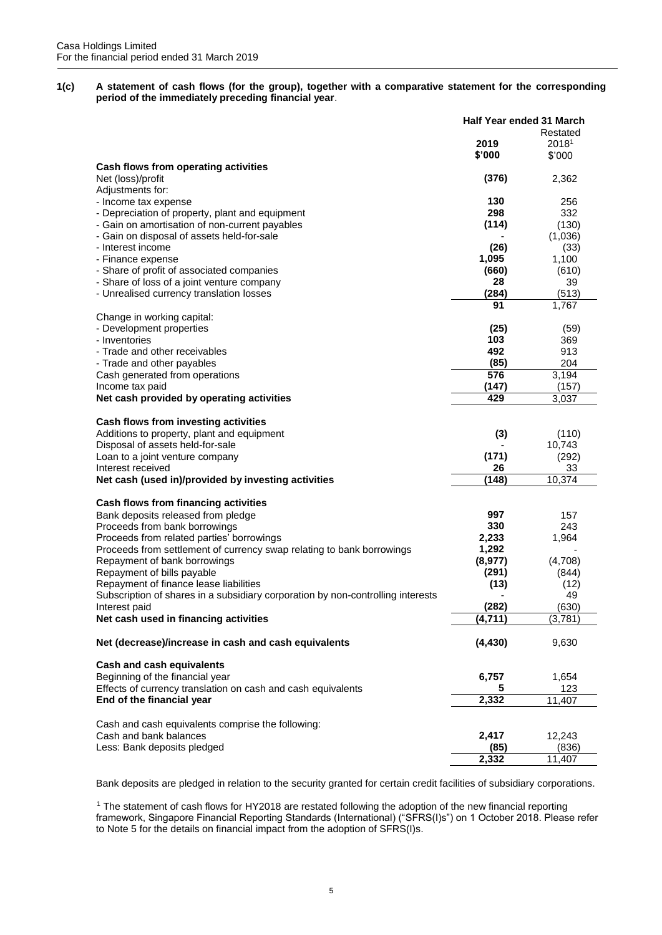**1(c) A statement of cash flows (for the group), together with a comparative statement for the corresponding period of the immediately preceding financial year**.

|                                                                                 | Half Year ended 31 March |          |
|---------------------------------------------------------------------------------|--------------------------|----------|
|                                                                                 |                          | Restated |
|                                                                                 | 2019                     | 20181    |
|                                                                                 | \$'000                   | \$'000   |
| Cash flows from operating activities                                            |                          |          |
|                                                                                 |                          |          |
| Net (loss)/profit                                                               | (376)                    | 2,362    |
| Adjustments for:                                                                |                          |          |
| - Income tax expense                                                            | 130                      | 256      |
| - Depreciation of property, plant and equipment                                 | 298                      | 332      |
| - Gain on amortisation of non-current payables                                  | (114)                    | (130)    |
| - Gain on disposal of assets held-for-sale                                      |                          | (1,036)  |
| - Interest income                                                               | (26)                     | (33)     |
| - Finance expense                                                               | 1,095                    | 1,100    |
| - Share of profit of associated companies                                       | (660)                    | (610)    |
| - Share of loss of a joint venture company                                      | 28                       | 39       |
|                                                                                 | (284)                    |          |
| - Unrealised currency translation losses                                        |                          | (513)    |
|                                                                                 | 91                       | 1,767    |
| Change in working capital:                                                      |                          |          |
| - Development properties                                                        | (25)                     | (59)     |
| - Inventories                                                                   | 103                      | 369      |
| - Trade and other receivables                                                   | 492                      | 913      |
| - Trade and other payables                                                      | (85)                     | 204      |
| Cash generated from operations                                                  | 576                      | 3,194    |
| Income tax paid                                                                 | (147)                    | (157)    |
| Net cash provided by operating activities                                       | 429                      | 3,037    |
|                                                                                 |                          |          |
|                                                                                 |                          |          |
| Cash flows from investing activities                                            |                          |          |
| Additions to property, plant and equipment                                      | (3)                      | (110)    |
| Disposal of assets held-for-sale                                                |                          | 10,743   |
| Loan to a joint venture company                                                 | (171)                    | (292)    |
| Interest received                                                               | 26                       | 33       |
| Net cash (used in)/provided by investing activities                             | (148)                    | 10,374   |
|                                                                                 |                          |          |
| Cash flows from financing activities                                            |                          |          |
| Bank deposits released from pledge                                              | 997                      | 157      |
| Proceeds from bank borrowings                                                   | 330                      | 243      |
| Proceeds from related parties' borrowings                                       | 2,233                    | 1,964    |
|                                                                                 |                          |          |
| Proceeds from settlement of currency swap relating to bank borrowings           | 1,292                    |          |
| Repayment of bank borrowings                                                    | (8, 977)                 | (4,708)  |
| Repayment of bills payable                                                      | (291)                    | (844)    |
| Repayment of finance lease liabilities                                          | (13)                     | (12)     |
| Subscription of shares in a subsidiary corporation by non-controlling interests |                          | 49       |
| Interest paid                                                                   | (282)                    | (630)    |
| Net cash used in financing activities                                           | (4, 711)                 | (3,781)  |
|                                                                                 |                          |          |
| Net (decrease)/increase in cash and cash equivalents                            | (4, 430)                 | 9,630    |
|                                                                                 |                          |          |
| <b>Cash and cash equivalents</b>                                                |                          |          |
| Beginning of the financial year                                                 | 6,757                    | 1,654    |
| Effects of currency translation on cash and cash equivalents                    | 5                        | 123      |
| End of the financial year                                                       | 2,332                    | 11,407   |
|                                                                                 |                          |          |
| Cash and cash equivalents comprise the following:                               |                          |          |
| Cash and bank balances                                                          | 2,417                    | 12,243   |
| Less: Bank deposits pledged                                                     | (85)                     | (836)    |
|                                                                                 |                          |          |
|                                                                                 | 2,332                    | 11,407   |

Bank deposits are pledged in relation to the security granted for certain credit facilities of subsidiary corporations.

<sup>1</sup> The statement of cash flows for HY2018 are restated following the adoption of the new financial reporting framework, Singapore Financial Reporting Standards (International) ("SFRS(I)s") on 1 October 2018. Please refer to Note 5 for the details on financial impact from the adoption of SFRS(I)s.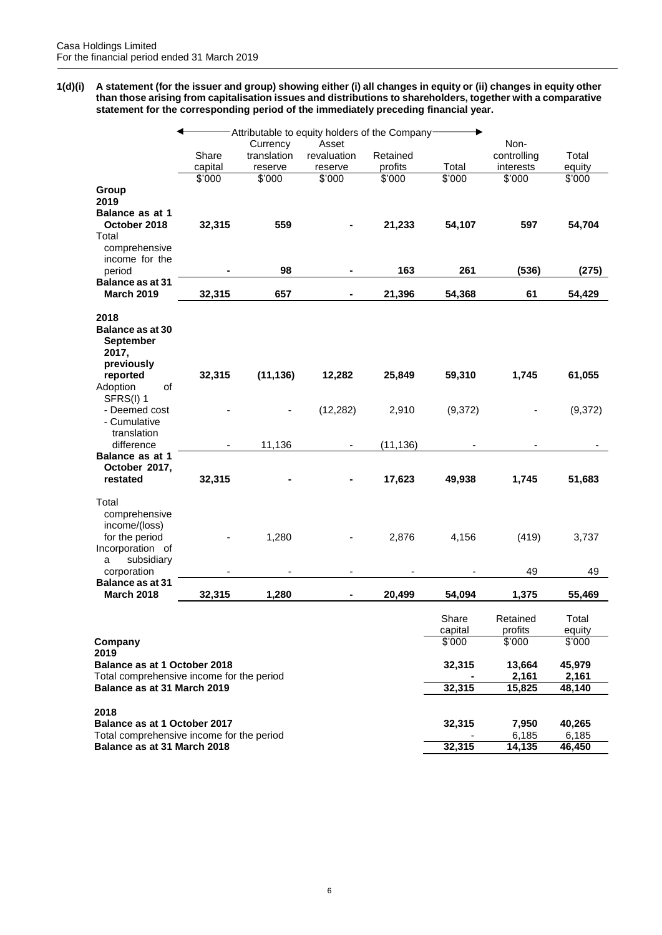**1(d)(i) A statement (for the issuer and group) showing either (i) all changes in equity or (ii) changes in equity other than those arising from capitalisation issues and distributions to shareholders, together with a comparative statement for the corresponding period of the immediately preceding financial year.**

|                                                                               |         |             | Attributable to equity holders of the Company- |           |                  |                     |                 |
|-------------------------------------------------------------------------------|---------|-------------|------------------------------------------------|-----------|------------------|---------------------|-----------------|
|                                                                               |         | Currency    | Asset                                          |           |                  | Non-                |                 |
|                                                                               | Share   | translation | revaluation                                    | Retained  |                  | controlling         | Total           |
|                                                                               | capital | reserve     | reserve                                        | profits   | Total            | interests           | equity          |
|                                                                               | \$'000  | \$'000      | \$'000                                         | \$'000    | \$'000           | \$'000              | \$'000          |
| Group                                                                         |         |             |                                                |           |                  |                     |                 |
| 2019                                                                          |         |             |                                                |           |                  |                     |                 |
| <b>Balance as at 1</b>                                                        |         |             |                                                |           |                  |                     |                 |
| October 2018                                                                  | 32,315  | 559         |                                                | 21,233    | 54,107           | 597                 | 54,704          |
| Total                                                                         |         |             |                                                |           |                  |                     |                 |
| comprehensive                                                                 |         |             |                                                |           |                  |                     |                 |
| income for the                                                                |         |             |                                                |           |                  |                     |                 |
| period                                                                        |         | 98          |                                                | 163       | 261              | (536)               | (275)           |
| <b>Balance as at 31</b><br><b>March 2019</b>                                  | 32,315  | 657         |                                                | 21,396    |                  | 61                  |                 |
|                                                                               |         |             |                                                |           | 54,368           |                     | 54,429          |
| 2018<br><b>Balance as at 30</b><br><b>September</b><br>2017,<br>previously    |         |             |                                                |           |                  |                     |                 |
| reported                                                                      | 32,315  | (11, 136)   | 12,282                                         | 25,849    | 59,310           | 1,745               | 61,055          |
| Adoption<br>οf                                                                |         |             |                                                |           |                  |                     |                 |
| SFRS(I) 1                                                                     |         |             |                                                |           |                  |                     |                 |
| - Deemed cost                                                                 |         |             | (12, 282)                                      | 2,910     | (9,372)          |                     | (9,372)         |
| - Cumulative                                                                  |         |             |                                                |           |                  |                     |                 |
| translation                                                                   |         |             |                                                |           |                  |                     |                 |
| difference                                                                    |         | 11,136      |                                                | (11, 136) |                  |                     |                 |
| <b>Balance as at 1</b>                                                        |         |             |                                                |           |                  |                     |                 |
| October 2017,<br>restated                                                     | 32,315  |             |                                                | 17,623    | 49,938           | 1,745               | 51,683          |
|                                                                               |         |             |                                                |           |                  |                     |                 |
| Total<br>comprehensive<br>income/(loss)<br>for the period<br>Incorporation of |         | 1,280       |                                                | 2,876     | 4,156            | (419)               | 3,737           |
| subsidiary<br>a<br>corporation                                                |         |             |                                                |           |                  | 49                  | 49              |
| <b>Balance as at 31</b>                                                       |         |             |                                                |           |                  |                     |                 |
| <b>March 2018</b>                                                             | 32,315  | 1,280       |                                                | 20,499    | 54,094           | 1,375               | 55,469          |
|                                                                               |         |             |                                                |           | Share<br>capital | Retained<br>profits | Total<br>equity |
| Company                                                                       |         |             |                                                |           | \$'000           | \$'000              | \$'000          |
| 2019                                                                          |         |             |                                                |           |                  |                     |                 |
| Balance as at 1 October 2018                                                  |         |             |                                                |           | 32,315           | 13,664              | 45,979          |
| Total comprehensive income for the period                                     |         |             |                                                |           |                  | 2,161               | 2,161           |
| Balance as at 31 March 2019                                                   |         |             |                                                |           | 32,315           | 15,825              | 48,140          |
| 2018                                                                          |         |             |                                                |           |                  |                     |                 |
| Balance as at 1 October 2017                                                  |         |             |                                                |           |                  | 7,950               | 40,265          |
| Total comprehensive income for the period                                     |         |             |                                                |           | 32,315           | 6,185               | 6,185           |
| Balance as at 31 March 2018                                                   |         |             |                                                |           | 32,315           | 14,135              | 46,450          |
|                                                                               |         |             |                                                |           |                  |                     |                 |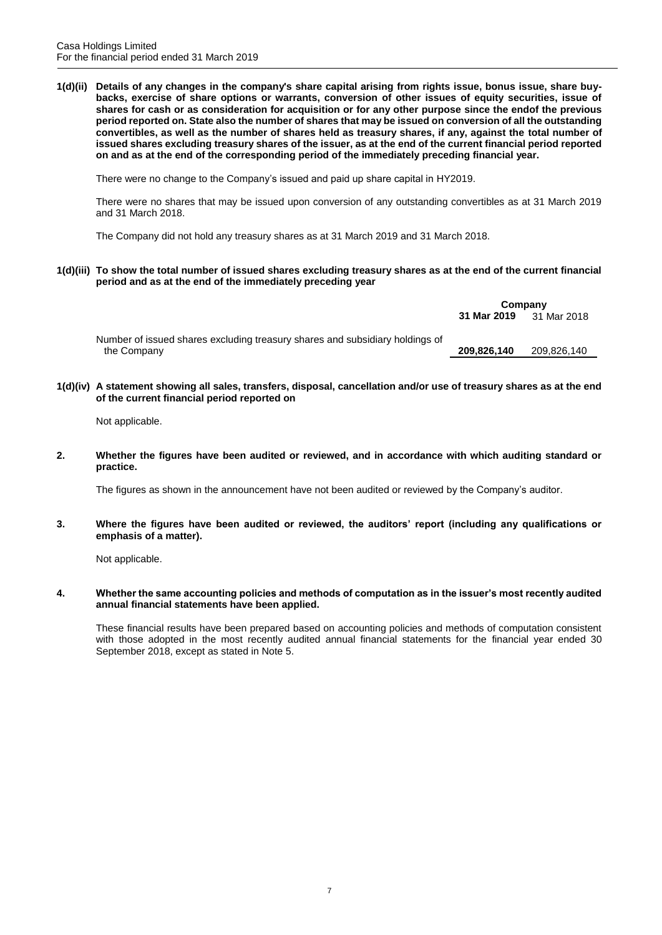**1(d)(ii) Details of any changes in the company's share capital arising from rights issue, bonus issue, share buybacks, exercise of share options or warrants, conversion of other issues of equity securities, issue of shares for cash or as consideration for acquisition or for any other purpose since the endof the previous period reported on. State also the number of shares that may be issued on conversion of all the outstanding convertibles, as well as the number of shares held as treasury shares, if any, against the total number of issued shares excluding treasury shares of the issuer, as at the end of the current financial period reported on and as at the end of the corresponding period of the immediately preceding financial year.**

There were no change to the Company's issued and paid up share capital in HY2019.

There were no shares that may be issued upon conversion of any outstanding convertibles as at 31 March 2019 and 31 March 2018.

The Company did not hold any treasury shares as at 31 March 2019 and 31 March 2018.

**1(d)(iii) To show the total number of issued shares excluding treasury shares as at the end of the current financial period and as at the end of the immediately preceding year**

|                                                                              |             | Company     |
|------------------------------------------------------------------------------|-------------|-------------|
|                                                                              | 31 Mar 2019 | 31 Mar 2018 |
| Number of issued shares excluding treasury shares and subsidiary holdings of |             |             |
| the Company                                                                  | 209.826.140 | 209,826,140 |

**1(d)(iv) A statement showing all sales, transfers, disposal, cancellation and/or use of treasury shares as at the end of the current financial period reported on**

Not applicable.

**2. Whether the figures have been audited or reviewed, and in accordance with which auditing standard or practice.**

The figures as shown in the announcement have not been audited or reviewed by the Company's auditor.

**3. Where the figures have been audited or reviewed, the auditors' report (including any qualifications or emphasis of a matter).**

Not applicable.

**4. Whether the same accounting policies and methods of computation as in the issuer's most recently audited annual financial statements have been applied.**

These financial results have been prepared based on accounting policies and methods of computation consistent with those adopted in the most recently audited annual financial statements for the financial year ended 30 September 2018, except as stated in Note 5.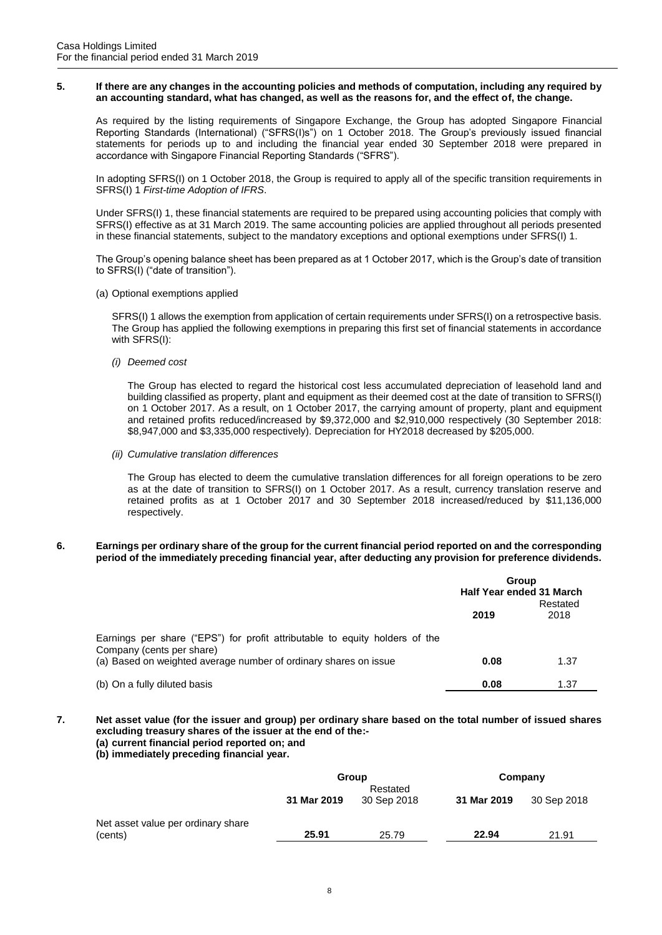#### **5. If there are any changes in the accounting policies and methods of computation, including any required by an accounting standard, what has changed, as well as the reasons for, and the effect of, the change.**

As required by the listing requirements of Singapore Exchange, the Group has adopted Singapore Financial Reporting Standards (International) ("SFRS(I)s") on 1 October 2018. The Group's previously issued financial statements for periods up to and including the financial year ended 30 September 2018 were prepared in accordance with Singapore Financial Reporting Standards ("SFRS").

In adopting SFRS(I) on 1 October 2018, the Group is required to apply all of the specific transition requirements in SFRS(I) 1 *First-time Adoption of IFRS*.

Under SFRS(I) 1, these financial statements are required to be prepared using accounting policies that comply with SFRS(I) effective as at 31 March 2019. The same accounting policies are applied throughout all periods presented in these financial statements, subject to the mandatory exceptions and optional exemptions under SFRS(I) 1.

The Group's opening balance sheet has been prepared as at 1 October 2017, which is the Group's date of transition to SFRS(I) ("date of transition").

(a) Optional exemptions applied

SFRS(I) 1 allows the exemption from application of certain requirements under SFRS(I) on a retrospective basis. The Group has applied the following exemptions in preparing this first set of financial statements in accordance with SFRS(I):

*(i) Deemed cost*

The Group has elected to regard the historical cost less accumulated depreciation of leasehold land and building classified as property, plant and equipment as their deemed cost at the date of transition to SFRS(I) on 1 October 2017. As a result, on 1 October 2017, the carrying amount of property, plant and equipment and retained profits reduced/increased by \$9,372,000 and \$2,910,000 respectively (30 September 2018: \$8,947,000 and \$3,335,000 respectively). Depreciation for HY2018 decreased by \$205,000.

*(ii) Cumulative translation differences*

The Group has elected to deem the cumulative translation differences for all foreign operations to be zero as at the date of transition to SFRS(I) on 1 October 2017. As a result, currency translation reserve and retained profits as at 1 October 2017 and 30 September 2018 increased/reduced by \$11,136,000 respectively.

#### **6. Earnings per ordinary share of the group for the current financial period reported on and the corresponding period of the immediately preceding financial year, after deducting any provision for preference dividends.**

|                                                                                                          | Group<br>Half Year ended 31 March |                  |
|----------------------------------------------------------------------------------------------------------|-----------------------------------|------------------|
|                                                                                                          | 2019                              | Restated<br>2018 |
| Earnings per share ("EPS") for profit attributable to equity holders of the<br>Company (cents per share) |                                   |                  |
| (a) Based on weighted average number of ordinary shares on issue                                         | 0.08                              | 1.37             |
| (b) On a fully diluted basis                                                                             | 0.08                              | 1.37             |

- **7. Net asset value (for the issuer and group) per ordinary share based on the total number of issued shares excluding treasury shares of the issuer at the end of the:-**
	- **(a) current financial period reported on; and**
	- **(b) immediately preceding financial year.**

|                                               | Group<br>Restated |             | Company     |             |
|-----------------------------------------------|-------------------|-------------|-------------|-------------|
|                                               | 31 Mar 2019       | 30 Sep 2018 | 31 Mar 2019 | 30 Sep 2018 |
| Net asset value per ordinary share<br>(cents) | 25.91             | 25.79       | 22.94       | 21.91       |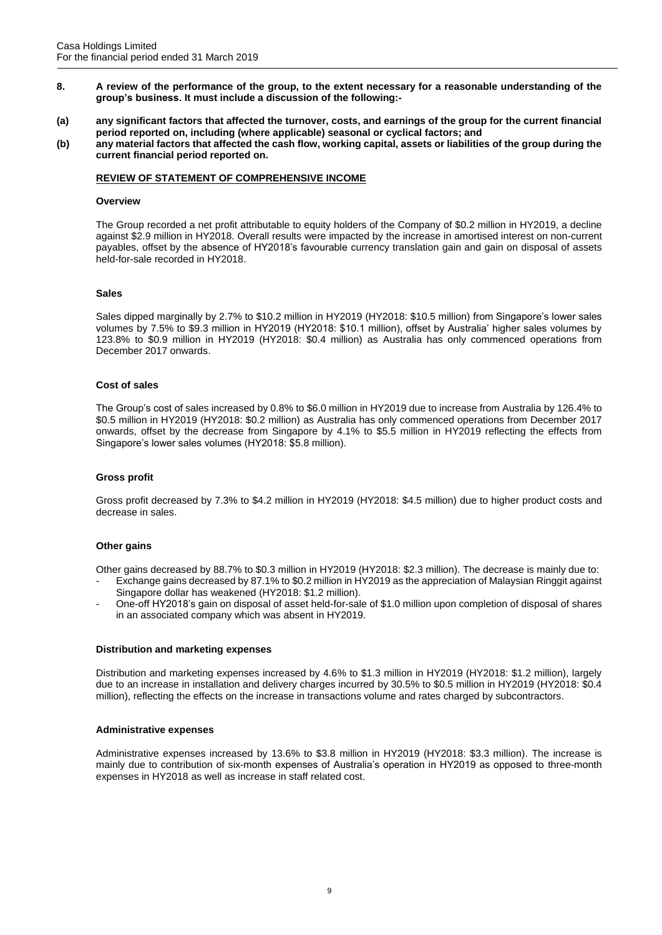- **8. A review of the performance of the group, to the extent necessary for a reasonable understanding of the group's business. It must include a discussion of the following:-**
- **(a) any significant factors that affected the turnover, costs, and earnings of the group for the current financial period reported on, including (where applicable) seasonal or cyclical factors; and**
- **(b) any material factors that affected the cash flow, working capital, assets or liabilities of the group during the current financial period reported on.**

## **REVIEW OF STATEMENT OF COMPREHENSIVE INCOME**

#### **Overview**

The Group recorded a net profit attributable to equity holders of the Company of \$0.2 million in HY2019, a decline against \$2.9 million in HY2018. Overall results were impacted by the increase in amortised interest on non-current payables, offset by the absence of HY2018's favourable currency translation gain and gain on disposal of assets held-for-sale recorded in HY2018.

## **Sales**

Sales dipped marginally by 2.7% to \$10.2 million in HY2019 (HY2018: \$10.5 million) from Singapore's lower sales volumes by 7.5% to \$9.3 million in HY2019 (HY2018: \$10.1 million), offset by Australia' higher sales volumes by 123.8% to \$0.9 million in HY2019 (HY2018: \$0.4 million) as Australia has only commenced operations from December 2017 onwards.

#### **Cost of sales**

The Group's cost of sales increased by 0.8% to \$6.0 million in HY2019 due to increase from Australia by 126.4% to \$0.5 million in HY2019 (HY2018: \$0.2 million) as Australia has only commenced operations from December 2017 onwards, offset by the decrease from Singapore by 4.1% to \$5.5 million in HY2019 reflecting the effects from Singapore's lower sales volumes (HY2018: \$5.8 million).

## **Gross profit**

Gross profit decreased by 7.3% to \$4.2 million in HY2019 (HY2018: \$4.5 million) due to higher product costs and decrease in sales.

## **Other gains**

Other gains decreased by 88.7% to \$0.3 million in HY2019 (HY2018: \$2.3 million). The decrease is mainly due to:

- Exchange gains decreased by 87.1% to \$0.2 million in HY2019 as the appreciation of Malaysian Ringgit against Singapore dollar has weakened (HY2018: \$1.2 million).
- One-off HY2018's gain on disposal of asset held-for-sale of \$1.0 million upon completion of disposal of shares in an associated company which was absent in HY2019.

## **Distribution and marketing expenses**

Distribution and marketing expenses increased by 4.6% to \$1.3 million in HY2019 (HY2018: \$1.2 million), largely due to an increase in installation and delivery charges incurred by 30.5% to \$0.5 million in HY2019 (HY2018: \$0.4 million), reflecting the effects on the increase in transactions volume and rates charged by subcontractors.

## **Administrative expenses**

Administrative expenses increased by 13.6% to \$3.8 million in HY2019 (HY2018: \$3.3 million). The increase is mainly due to contribution of six-month expenses of Australia's operation in HY2019 as opposed to three-month expenses in HY2018 as well as increase in staff related cost.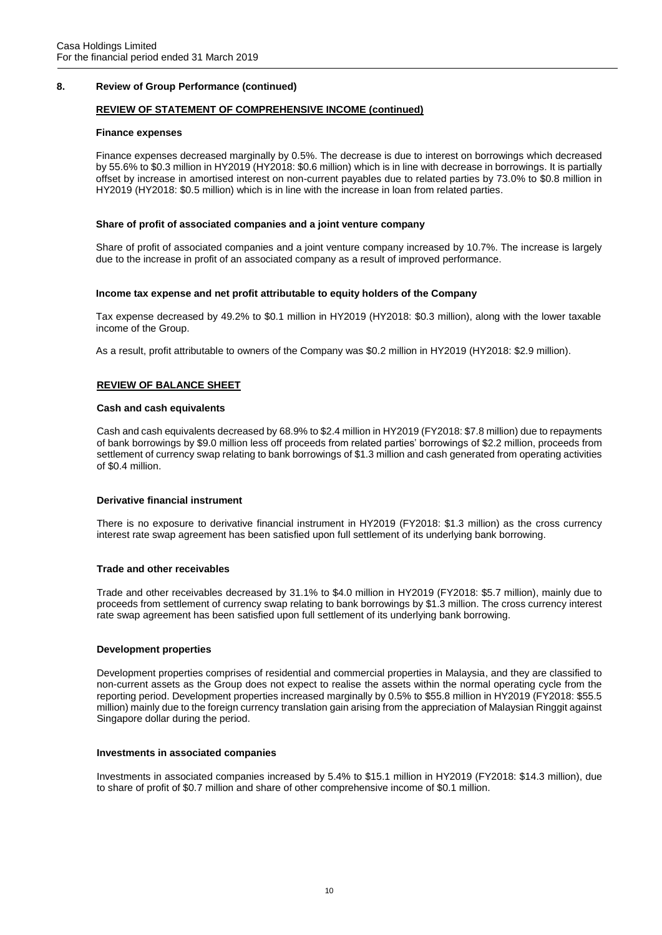# **8. Review of Group Performance (continued)**

# **REVIEW OF STATEMENT OF COMPREHENSIVE INCOME (continued)**

#### **Finance expenses**

Finance expenses decreased marginally by 0.5%. The decrease is due to interest on borrowings which decreased by 55.6% to \$0.3 million in HY2019 (HY2018: \$0.6 million) which is in line with decrease in borrowings. It is partially offset by increase in amortised interest on non-current payables due to related parties by 73.0% to \$0.8 million in HY2019 (HY2018: \$0.5 million) which is in line with the increase in loan from related parties.

## **Share of profit of associated companies and a joint venture company**

Share of profit of associated companies and a joint venture company increased by 10.7%. The increase is largely due to the increase in profit of an associated company as a result of improved performance.

#### **Income tax expense and net profit attributable to equity holders of the Company**

Tax expense decreased by 49.2% to \$0.1 million in HY2019 (HY2018: \$0.3 million), along with the lower taxable income of the Group.

As a result, profit attributable to owners of the Company was \$0.2 million in HY2019 (HY2018: \$2.9 million).

# **REVIEW OF BALANCE SHEET**

#### **Cash and cash equivalents**

Cash and cash equivalents decreased by 68.9% to \$2.4 million in HY2019 (FY2018: \$7.8 million) due to repayments of bank borrowings by \$9.0 million less off proceeds from related parties' borrowings of \$2.2 million, proceeds from settlement of currency swap relating to bank borrowings of \$1.3 million and cash generated from operating activities of \$0.4 million.

## **Derivative financial instrument**

There is no exposure to derivative financial instrument in HY2019 (FY2018: \$1.3 million) as the cross currency interest rate swap agreement has been satisfied upon full settlement of its underlying bank borrowing.

## **Trade and other receivables**

Trade and other receivables decreased by 31.1% to \$4.0 million in HY2019 (FY2018: \$5.7 million), mainly due to proceeds from settlement of currency swap relating to bank borrowings by \$1.3 million. The cross currency interest rate swap agreement has been satisfied upon full settlement of its underlying bank borrowing.

## **Development properties**

Development properties comprises of residential and commercial properties in Malaysia, and they are classified to non-current assets as the Group does not expect to realise the assets within the normal operating cycle from the reporting period. Development properties increased marginally by 0.5% to \$55.8 million in HY2019 (FY2018: \$55.5 million) mainly due to the foreign currency translation gain arising from the appreciation of Malaysian Ringgit against Singapore dollar during the period.

#### **Investments in associated companies**

Investments in associated companies increased by 5.4% to \$15.1 million in HY2019 (FY2018: \$14.3 million), due to share of profit of \$0.7 million and share of other comprehensive income of \$0.1 million.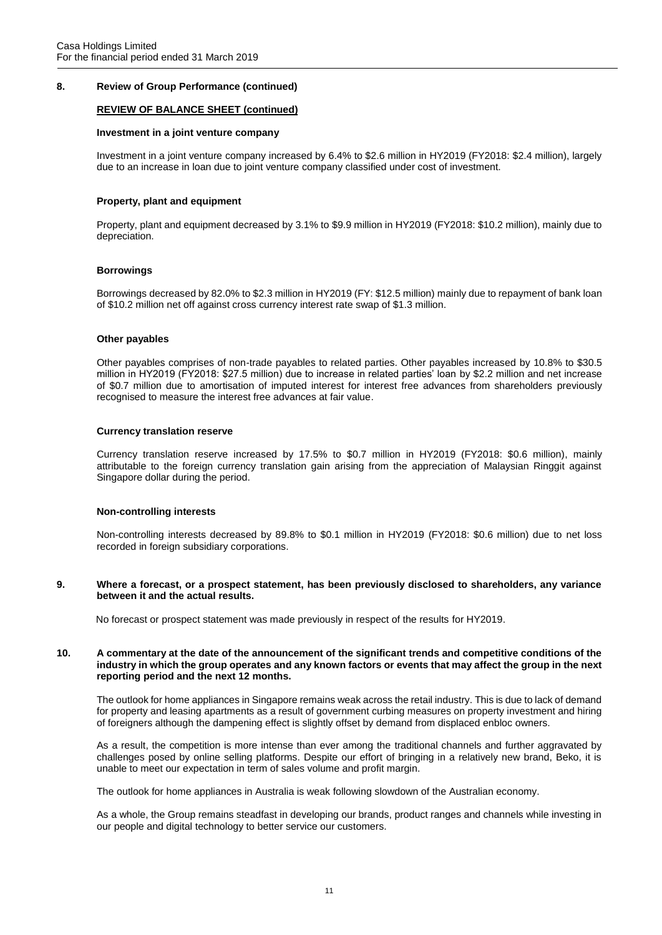# **8. Review of Group Performance (continued)**

# **REVIEW OF BALANCE SHEET (continued)**

#### **Investment in a joint venture company**

Investment in a joint venture company increased by 6.4% to \$2.6 million in HY2019 (FY2018: \$2.4 million), largely due to an increase in loan due to joint venture company classified under cost of investment.

## **Property, plant and equipment**

Property, plant and equipment decreased by 3.1% to \$9.9 million in HY2019 (FY2018: \$10.2 million), mainly due to depreciation.

#### **Borrowings**

Borrowings decreased by 82.0% to \$2.3 million in HY2019 (FY: \$12.5 million) mainly due to repayment of bank loan of \$10.2 million net off against cross currency interest rate swap of \$1.3 million.

#### **Other payables**

Other payables comprises of non-trade payables to related parties. Other payables increased by 10.8% to \$30.5 million in HY2019 (FY2018: \$27.5 million) due to increase in related parties' loan by \$2.2 million and net increase of \$0.7 million due to amortisation of imputed interest for interest free advances from shareholders previously recognised to measure the interest free advances at fair value.

# **Currency translation reserve**

Currency translation reserve increased by 17.5% to \$0.7 million in HY2019 (FY2018: \$0.6 million), mainly attributable to the foreign currency translation gain arising from the appreciation of Malaysian Ringgit against Singapore dollar during the period.

## **Non-controlling interests**

Non-controlling interests decreased by 89.8% to \$0.1 million in HY2019 (FY2018: \$0.6 million) due to net loss recorded in foreign subsidiary corporations.

**9. Where a forecast, or a prospect statement, has been previously disclosed to shareholders, any variance between it and the actual results.**

No forecast or prospect statement was made previously in respect of the results for HY2019.

#### **10. A commentary at the date of the announcement of the significant trends and competitive conditions of the industry in which the group operates and any known factors or events that may affect the group in the next reporting period and the next 12 months.**

The outlook for home appliances in Singapore remains weak across the retail industry. This is due to lack of demand for property and leasing apartments as a result of government curbing measures on property investment and hiring of foreigners although the dampening effect is slightly offset by demand from displaced enbloc owners.

As a result, the competition is more intense than ever among the traditional channels and further aggravated by challenges posed by online selling platforms. Despite our effort of bringing in a relatively new brand, Beko, it is unable to meet our expectation in term of sales volume and profit margin.

The outlook for home appliances in Australia is weak following slowdown of the Australian economy.

As a whole, the Group remains steadfast in developing our brands, product ranges and channels while investing in our people and digital technology to better service our customers.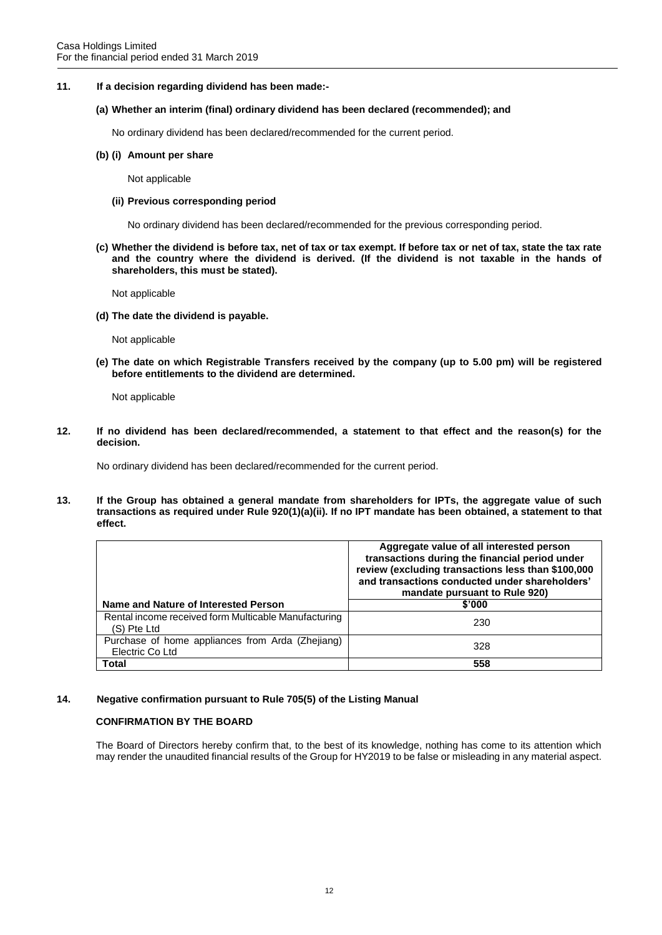**11. If a decision regarding dividend has been made:-**

## **(a) Whether an interim (final) ordinary dividend has been declared (recommended); and**

No ordinary dividend has been declared/recommended for the current period.

#### **(b) (i) Amount per share**

Not applicable

#### **(ii) Previous corresponding period**

No ordinary dividend has been declared/recommended for the previous corresponding period.

**(c) Whether the dividend is before tax, net of tax or tax exempt. If before tax or net of tax, state the tax rate and the country where the dividend is derived. (If the dividend is not taxable in the hands of shareholders, this must be stated).**

Not applicable

**(d) The date the dividend is payable.**

Not applicable

**(e) The date on which Registrable Transfers received by the company (up to 5.00 pm) will be registered before entitlements to the dividend are determined.**

Not applicable

**12. If no dividend has been declared/recommended, a statement to that effect and the reason(s) for the decision.**

No ordinary dividend has been declared/recommended for the current period.

**13. If the Group has obtained a general mandate from shareholders for IPTs, the aggregate value of such transactions as required under Rule 920(1)(a)(ii). If no IPT mandate has been obtained, a statement to that effect.**

|                                                                     | Aggregate value of all interested person<br>transactions during the financial period under<br>review (excluding transactions less than \$100,000<br>and transactions conducted under shareholders'<br>mandate pursuant to Rule 920) |
|---------------------------------------------------------------------|-------------------------------------------------------------------------------------------------------------------------------------------------------------------------------------------------------------------------------------|
| Name and Nature of Interested Person                                | \$'000                                                                                                                                                                                                                              |
| Rental income received form Multicable Manufacturing<br>(S) Pte Ltd | 230                                                                                                                                                                                                                                 |
| Purchase of home appliances from Arda (Zhejiang)<br>Electric Co Ltd | 328                                                                                                                                                                                                                                 |
| Total                                                               | 558                                                                                                                                                                                                                                 |

## **14. Negative confirmation pursuant to Rule 705(5) of the Listing Manual**

# **CONFIRMATION BY THE BOARD**

The Board of Directors hereby confirm that, to the best of its knowledge, nothing has come to its attention which may render the unaudited financial results of the Group for HY2019 to be false or misleading in any material aspect.